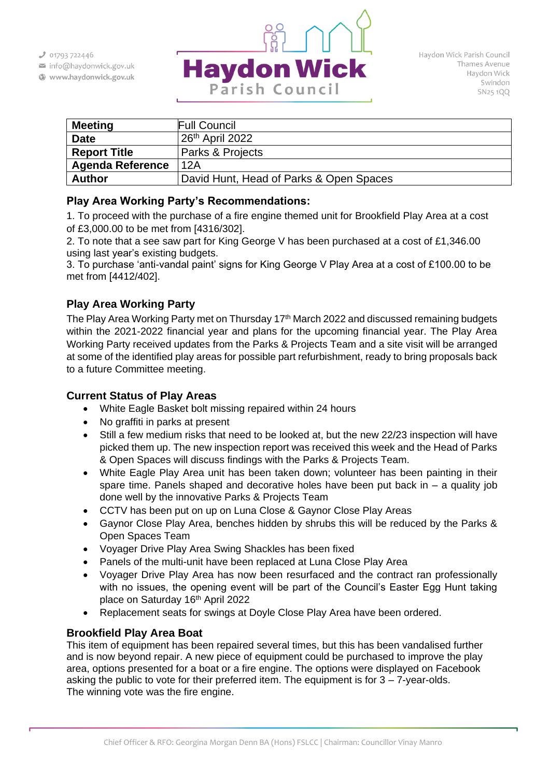$301793722446$ 

- info@haydonwick.gov.uk
- Www.haydonwick.gov.uk



| <b>Meeting</b>          | <b>Full Council</b>                     |
|-------------------------|-----------------------------------------|
| <b>Date</b>             | $26th$ April 2022                       |
| <b>Report Title</b>     | Parks & Projects                        |
| <b>Agenda Reference</b> | 12A                                     |
| <b>Author</b>           | David Hunt, Head of Parks & Open Spaces |

## **Play Area Working Party's Recommendations:**

1. To proceed with the purchase of a fire engine themed unit for Brookfield Play Area at a cost of £3,000.00 to be met from [4316/302].

2. To note that a see saw part for King George V has been purchased at a cost of £1,346.00 using last year's existing budgets.

3. To purchase 'anti-vandal paint' signs for King George V Play Area at a cost of £100.00 to be met from [4412/402].

# **Play Area Working Party**

The Play Area Working Party met on Thursday 17<sup>th</sup> March 2022 and discussed remaining budgets within the 2021-2022 financial year and plans for the upcoming financial year. The Play Area Working Party received updates from the Parks & Projects Team and a site visit will be arranged at some of the identified play areas for possible part refurbishment, ready to bring proposals back to a future Committee meeting.

## **Current Status of Play Areas**

- White Eagle Basket bolt missing repaired within 24 hours
- No graffiti in parks at present
- Still a few medium risks that need to be looked at, but the new 22/23 inspection will have picked them up. The new inspection report was received this week and the Head of Parks & Open Spaces will discuss findings with the Parks & Projects Team.
- White Eagle Play Area unit has been taken down; volunteer has been painting in their spare time. Panels shaped and decorative holes have been put back in  $-$  a quality job done well by the innovative Parks & Projects Team
- CCTV has been put on up on Luna Close & Gaynor Close Play Areas
- Gaynor Close Play Area, benches hidden by shrubs this will be reduced by the Parks & Open Spaces Team
- Voyager Drive Play Area Swing Shackles has been fixed
- Panels of the multi-unit have been replaced at Luna Close Play Area
- Voyager Drive Play Area has now been resurfaced and the contract ran professionally with no issues, the opening event will be part of the Council's Easter Egg Hunt taking place on Saturday 16th April 2022
- Replacement seats for swings at Doyle Close Play Area have been ordered.

## **Brookfield Play Area Boat**

This item of equipment has been repaired several times, but this has been vandalised further and is now beyond repair. A new piece of equipment could be purchased to improve the play area, options presented for a boat or a fire engine. The options were displayed on Facebook asking the public to vote for their preferred item. The equipment is for  $3 - 7$ -year-olds. The winning vote was the fire engine.